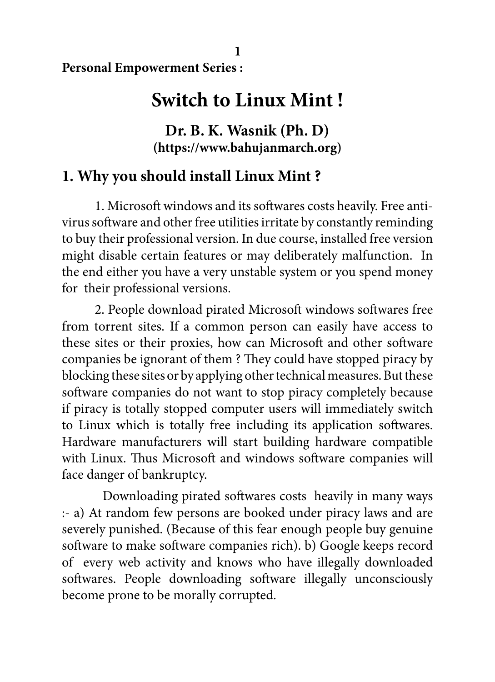**Personal Empowerment Series :**

# **Switch to Linux Mint !**

## **Dr. B. K. Wasnik (Ph. D) (https://www.bahujanmarch.org)**

# **1. Why you should install Linux Mint ?**

1. Microsoft windows and its softwares costs heavily. Free antivirus software and other free utilities irritate by constantly reminding to buy their professional version. In due course, installed free version might disable certain features or may deliberately malfunction. In the end either you have a very unstable system or you spend money for their professional versions.

2. People download pirated Microsoft windows softwares free from torrent sites. If a common person can easily have access to these sites or their proxies, how can Microsoft and other software companies be ignorant of them ? They could have stopped piracy by blocking these sites or by applying other technical measures. But these software companies do not want to stop piracy completely because if piracy is totally stopped computer users will immediately switch to Linux which is totally free including its application softwares. Hardware manufacturers will start building hardware compatible with Linux. Thus Microsoft and windows software companies will face danger of bankruptcy.

 Downloading pirated softwares costs heavily in many ways :- a) At random few persons are booked under piracy laws and are severely punished. (Because of this fear enough people buy genuine software to make software companies rich). b) Google keeps record of every web activity and knows who have illegally downloaded softwares. People downloading software illegally unconsciously become prone to be morally corrupted.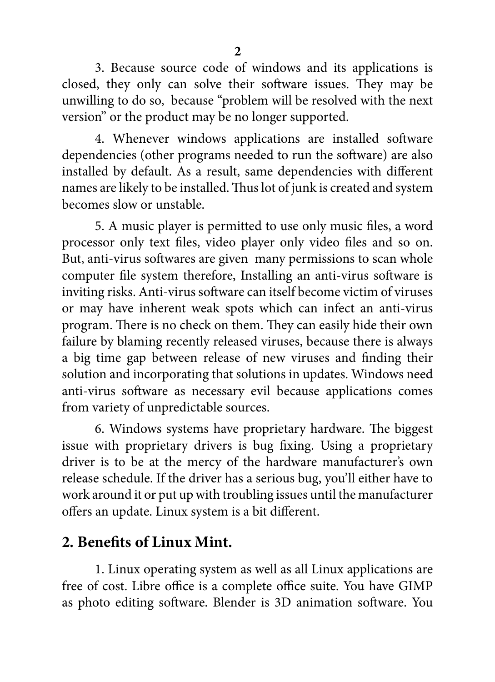3. Because source code of windows and its applications is closed, they only can solve their software issues. They may be unwilling to do so, because "problem will be resolved with the next version" or the product may be no longer supported.

4. Whenever windows applications are installed software dependencies (other programs needed to run the software) are also installed by default. As a result, same dependencies with different names are likely to be installed. Thus lot of junk is created and system becomes slow or unstable.

5. A music player is permitted to use only music files, a word processor only text files, video player only video files and so on. But, anti-virus softwares are given many permissions to scan whole computer file system therefore, Installing an anti-virus software is inviting risks. Anti-virus software can itself become victim of viruses or may have inherent weak spots which can infect an anti-virus program. There is no check on them. They can easily hide their own failure by blaming recently released viruses, because there is always a big time gap between release of new viruses and finding their solution and incorporating that solutions in updates. Windows need anti-virus software as necessary evil because applications comes from variety of unpredictable sources.

6. Windows systems have proprietary hardware. The biggest issue with proprietary drivers is bug fixing. Using a proprietary driver is to be at the mercy of the hardware manufacturer's own release schedule. If the driver has a serious bug, you'll either have to work around it or put up with troubling issues until the manufacturer offers an update. Linux system is a bit different.

### **2. Benefits of Linux Mint.**

1. Linux operating system as well as all Linux applications are free of cost. Libre office is a complete office suite. You have GIMP as photo editing software. Blender is 3D animation software. You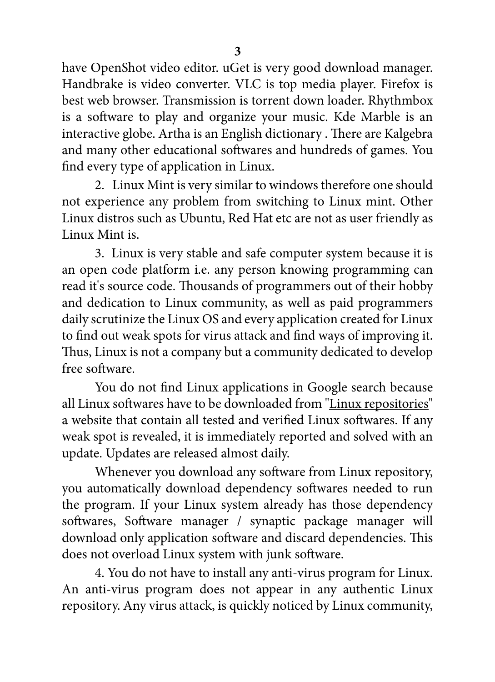have OpenShot video editor. uGet is very good download manager. Handbrake is video converter. VLC is top media player. Firefox is best web browser. Transmission is torrent down loader. Rhythmbox is a software to play and organize your music. Kde Marble is an interactive globe. Artha is an English dictionary . There are Kalgebra and many other educational softwares and hundreds of games. You find every type of application in Linux.

2. Linux Mint is very similar to windows therefore one should not experience any problem from switching to Linux mint. Other Linux distros such as Ubuntu, Red Hat etc are not as user friendly as Linux Mint is.

3. Linux is very stable and safe computer system because it is an open code platform i.e. any person knowing programming can read it's source code. Thousands of programmers out of their hobby and dedication to Linux community, as well as paid programmers daily scrutinize the Linux OS and every application created for Linux to find out weak spots for virus attack and find ways of improving it. Thus, Linux is not a company but a community dedicated to develop free software.

You do not find Linux applications in Google search because all Linux softwares have to be downloaded from "Linux repositories" a website that contain all tested and verified Linux softwares. If any weak spot is revealed, it is immediately reported and solved with an update. Updates are released almost daily.

Whenever you download any software from Linux repository, you automatically download dependency softwares needed to run the program. If your Linux system already has those dependency softwares, Software manager / synaptic package manager will download only application software and discard dependencies. This does not overload Linux system with junk software.

4. You do not have to install any anti-virus program for Linux. An anti-virus program does not appear in any authentic Linux repository. Any virus attack, is quickly noticed by Linux community,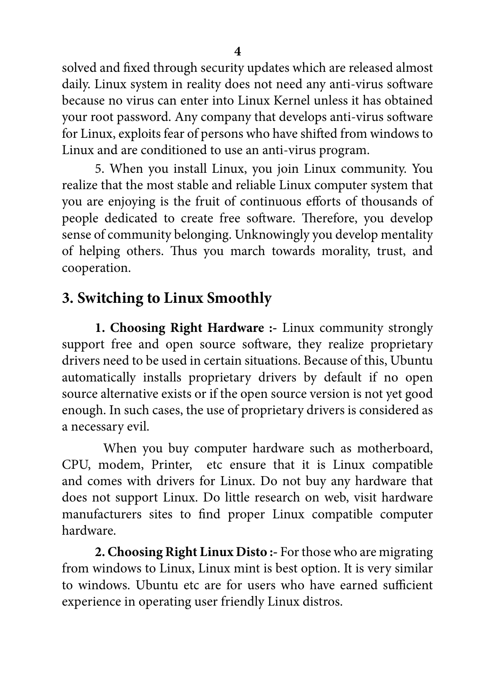solved and fixed through security updates which are released almost daily. Linux system in reality does not need any anti-virus software because no virus can enter into Linux Kernel unless it has obtained your root password. Any company that develops anti-virus software for Linux, exploits fear of persons who have shifted from windows to Linux and are conditioned to use an anti-virus program.

5. When you install Linux, you join Linux community. You realize that the most stable and reliable Linux computer system that you are enjoying is the fruit of continuous efforts of thousands of people dedicated to create free software. Therefore, you develop sense of community belonging. Unknowingly you develop mentality of helping others. Thus you march towards morality, trust, and cooperation.

# **3. Switching to Linux Smoothly**

**1. Choosing Right Hardware :-** Linux community strongly support free and open source software, they realize proprietary drivers need to be used in certain situations. Because of this, Ubuntu automatically installs proprietary drivers by default if no open source alternative exists or if the open source version is not yet good enough. In such cases, the use of proprietary drivers is considered as a necessary evil.

When you buy computer hardware such as motherboard, CPU, modem, Printer, etc ensure that it is Linux compatible and comes with drivers for Linux. Do not buy any hardware that does not support Linux. Do little research on web, visit hardware manufacturers sites to find proper Linux compatible computer hardware.

**2. Choosing Right Linux Disto :-** For those who are migrating from windows to Linux, Linux mint is best option. It is very similar to windows. Ubuntu etc are for users who have earned sufficient experience in operating user friendly Linux distros.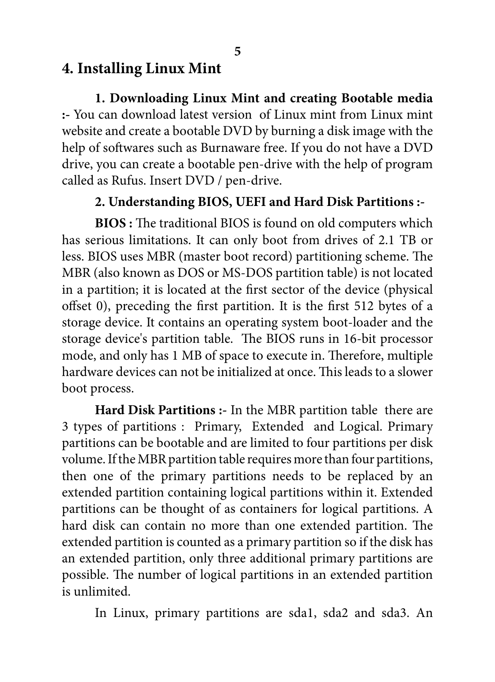# **4. Installing Linux Mint**

**1. Downloading Linux Mint and creating Bootable media :-** You can download latest version of Linux mint from Linux mint website and create a bootable DVD by burning a disk image with the help of softwares such as Burnaware free. If you do not have a DVD drive, you can create a bootable pen-drive with the help of program called as Rufus. Insert DVD / pen-drive.

### **2. Understanding BIOS, UEFI and Hard Disk Partitions :-**

**BIOS :** The traditional BIOS is found on old computers which has serious limitations. It can only boot from drives of 2.1 TB or less. BIOS uses MBR (master boot record) partitioning scheme. The MBR (also known as DOS or MS-DOS partition table) is not located in a partition; it is located at the first sector of the device (physical offset 0), preceding the first partition. It is the first 512 bytes of a storage device. It contains an operating system boot-loader and the storage device's partition table. The BIOS runs in 16-bit processor mode, and only has 1 MB of space to execute in. Therefore, multiple hardware devices can not be initialized at once. This leads to a slower boot process.

**Hard Disk Partitions :-** In the MBR partition table there are 3 types of partitions : Primary, Extended and Logical. Primary partitions can be bootable and are limited to four partitions per disk volume. If the MBR partition table requires more than four partitions, then one of the primary partitions needs to be replaced by an extended partition containing logical partitions within it. Extended partitions can be thought of as containers for logical partitions. A hard disk can contain no more than one extended partition. The extended partition is counted as a primary partition so if the disk has an extended partition, only three additional primary partitions are possible. The number of logical partitions in an extended partition is unlimited.

In Linux, primary partitions are sda1, sda2 and sda3. An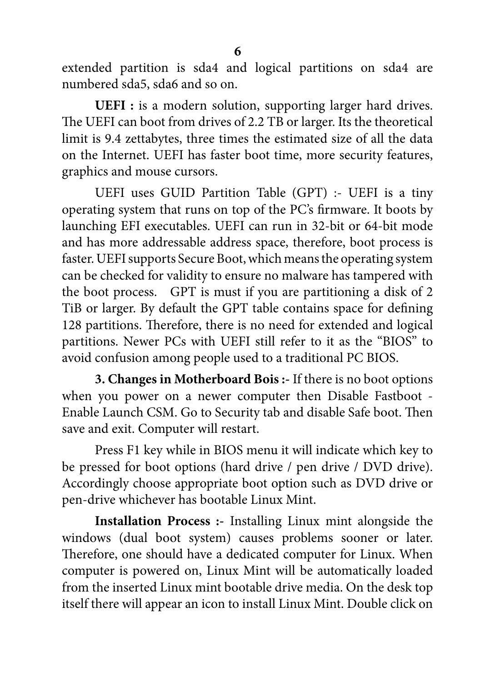extended partition is sda4 and logical partitions on sda4 are numbered sda5, sda6 and so on.

**UEFI :** is a modern solution, supporting larger hard drives. The UEFI can boot from drives of 2.2 TB or larger. Its the theoretical limit is 9.4 zettabytes, three times the estimated size of all the data on the Internet. UEFI has faster boot time, more security features, graphics and mouse cursors.

UEFI uses GUID Partition Table (GPT) :- UEFI is a tiny operating system that runs on top of the PC's firmware. It boots by launching EFI executables. UEFI can run in 32-bit or 64-bit mode and has more addressable address space, therefore, boot process is faster. UEFI supports Secure Boot, which means the operating system can be checked for validity to ensure no malware has tampered with the boot process. GPT is must if you are partitioning a disk of 2 TiB or larger. By default the GPT table contains space for defining 128 partitions. Therefore, there is no need for extended and logical partitions. Newer PCs with UEFI still refer to it as the "BIOS" to avoid confusion among people used to a traditional PC BIOS.

**3. Changes in Motherboard Bois :-** If there is no boot options when you power on a newer computer then Disable Fastboot - Enable Launch CSM. Go to Security tab and disable Safe boot. Then save and exit. Computer will restart.

Press F1 key while in BIOS menu it will indicate which key to be pressed for boot options (hard drive / pen drive / DVD drive). Accordingly choose appropriate boot option such as DVD drive or pen-drive whichever has bootable Linux Mint.

**Installation Process :-** Installing Linux mint alongside the windows (dual boot system) causes problems sooner or later. Therefore, one should have a dedicated computer for Linux. When computer is powered on, Linux Mint will be automatically loaded from the inserted Linux mint bootable drive media. On the desk top itself there will appear an icon to install Linux Mint. Double click on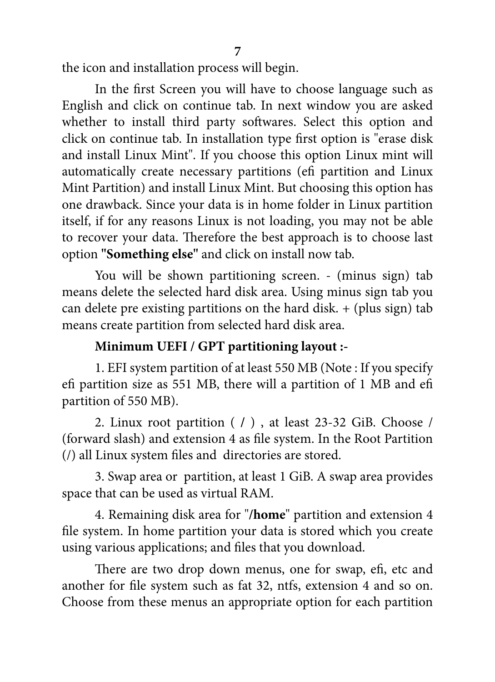the icon and installation process will begin.

In the first Screen you will have to choose language such as English and click on continue tab. In next window you are asked whether to install third party softwares. Select this option and click on continue tab. In installation type first option is "erase disk and install Linux Mint". If you choose this option Linux mint will automatically create necessary partitions (efi partition and Linux Mint Partition) and install Linux Mint. But choosing this option has one drawback. Since your data is in home folder in Linux partition itself, if for any reasons Linux is not loading, you may not be able to recover your data. Therefore the best approach is to choose last option **"Something else"** and click on install now tab.

You will be shown partitioning screen. - (minus sign) tab means delete the selected hard disk area. Using minus sign tab you can delete pre existing partitions on the hard disk.  $+$  (plus sign) tab means create partition from selected hard disk area.

### **Minimum UEFI / GPT partitioning layout :-**

1. EFI system partition of at least 550 MB (Note : If you specify efi partition size as 551 MB, there will a partition of 1 MB and efi partition of 550 MB).

2. Linux root partition ( **/** ) , at least 23-32 GiB. Choose / (forward slash) and extension 4 as file system. In the Root Partition (/) all Linux system files and directories are stored.

3. Swap area or partition, at least 1 GiB. A swap area provides space that can be used as virtual RAM.

4. Remaining disk area for "**/home**" partition and extension 4 file system. In home partition your data is stored which you create using various applications; and files that you download.

There are two drop down menus, one for swap, efi, etc and another for file system such as fat 32, ntfs, extension 4 and so on. Choose from these menus an appropriate option for each partition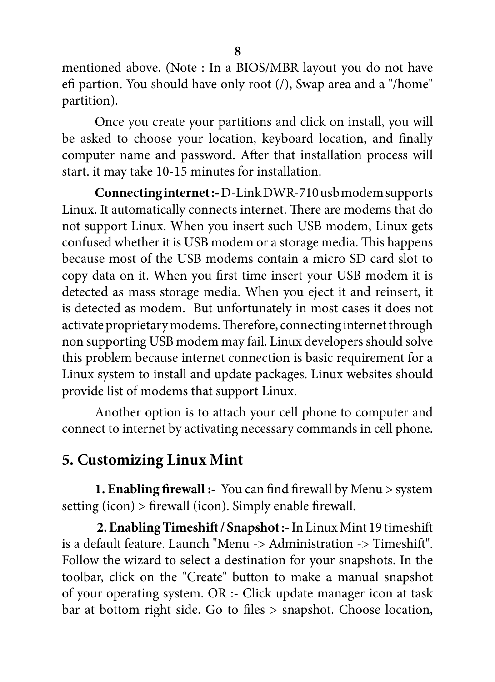mentioned above. (Note : In a BIOS/MBR layout you do not have efi partion. You should have only root (/), Swap area and a "/home" partition).

Once you create your partitions and click on install, you will be asked to choose your location, keyboard location, and finally computer name and password. After that installation process will start. it may take 10-15 minutes for installation.

**Connecting internet :-** D-Link DWR-710 usb modem supports Linux. It automatically connects internet. There are modems that do not support Linux. When you insert such USB modem, Linux gets confused whether it is USB modem or a storage media. This happens because most of the USB modems contain a micro SD card slot to copy data on it. When you first time insert your USB modem it is detected as mass storage media. When you eject it and reinsert, it is detected as modem. But unfortunately in most cases it does not activate proprietary modems. Therefore, connecting internet through non supporting USB modem may fail. Linux developers should solve this problem because internet connection is basic requirement for a Linux system to install and update packages. Linux websites should provide list of modems that support Linux.

Another option is to attach your cell phone to computer and connect to internet by activating necessary commands in cell phone.

# **5. Customizing Linux Mint**

**1. Enabling firewall :-** You can find firewall by Menu > system setting (icon) > firewall (icon). Simply enable firewall.

**2. Enabling Timeshift / Snapshot :-** In Linux Mint 19 timeshift is a default feature. Launch "Menu -> Administration -> Timeshift". Follow the wizard to select a destination for your snapshots. In the toolbar, click on the "Create" button to make a manual snapshot of your operating system. OR :- Click update manager icon at task bar at bottom right side. Go to files > snapshot. Choose location,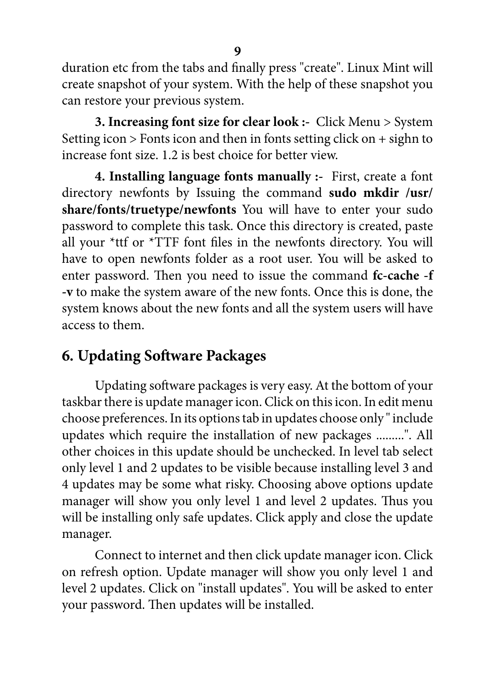duration etc from the tabs and finally press "create". Linux Mint will create snapshot of your system. With the help of these snapshot you can restore your previous system.

**3. Increasing font size for clear look :-** Click Menu > System Setting icon > Fonts icon and then in fonts setting click on + sighn to increase font size. 1.2 is best choice for better view.

**4. Installing language fonts manually :-** First, create a font directory newfonts by Issuing the command **sudo mkdir /usr/ share/fonts/truetype/newfonts** You will have to enter your sudo password to complete this task. Once this directory is created, paste all your \*ttf or \*TTF font files in the newfonts directory. You will have to open newfonts folder as a root user. You will be asked to enter password. Then you need to issue the command **fc-cache -f -v** to make the system aware of the new fonts. Once this is done, the system knows about the new fonts and all the system users will have access to them.

# **6. Updating Software Packages**

Updating software packages is very easy. At the bottom of your taskbar there is update manager icon. Click on this icon. In edit menu choose preferences. In its options tab in updates choose only " include updates which require the installation of new packages .........". All other choices in this update should be unchecked. In level tab select only level 1 and 2 updates to be visible because installing level 3 and 4 updates may be some what risky. Choosing above options update manager will show you only level 1 and level 2 updates. Thus you will be installing only safe updates. Click apply and close the update manager.

Connect to internet and then click update manager icon. Click on refresh option. Update manager will show you only level 1 and level 2 updates. Click on "install updates". You will be asked to enter your password. Then updates will be installed.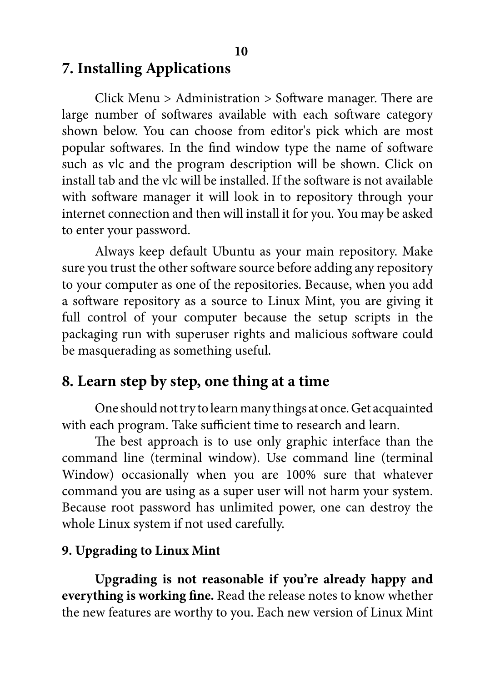#### **7. Installing Applications**

Click Menu > Administration > Software manager. There are large number of softwares available with each software category shown below. You can choose from editor's pick which are most popular softwares. In the find window type the name of software such as vlc and the program description will be shown. Click on install tab and the vlc will be installed. If the software is not available with software manager it will look in to repository through your internet connection and then will install it for you. You may be asked to enter your password.

Always keep default Ubuntu as your main repository. Make sure you trust the other software source before adding any repository to your computer as one of the repositories. Because, when you add a software repository as a source to Linux Mint, you are giving it full control of your computer because the setup scripts in the packaging run with superuser rights and malicious software could be masquerading as something useful.

### **8. Learn step by step, one thing at a time**

One should not try to learn many things at once. Get acquainted with each program. Take sufficient time to research and learn.

The best approach is to use only graphic interface than the command line (terminal window). Use command line (terminal Window) occasionally when you are 100% sure that whatever command you are using as a super user will not harm your system. Because root password has unlimited power, one can destroy the whole Linux system if not used carefully.

#### **9. Upgrading to Linux Mint**

**Upgrading is not reasonable if you're already happy and everything is working fine.** Read the release notes to know whether the new features are worthy to you. Each new version of Linux Mint